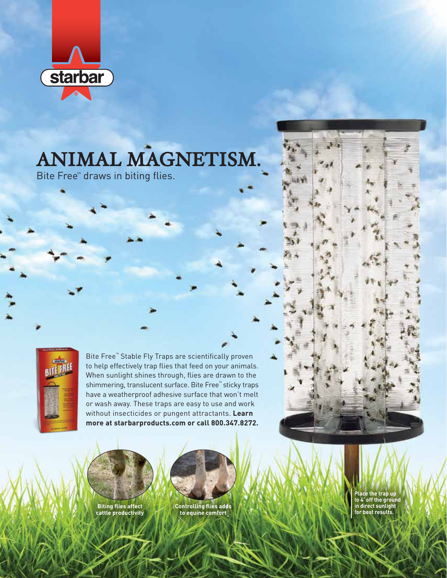

# ANIMAL MAGNETISM.

Bite Free™ draws in biting flies.



Bite Free™ Stable Fly Traps are scientifically proven to help effectively trap flies that feed on your animals. When sunlight shines through, flies are drawn to the shimmering, translucent surface. Bite Free™ sticky traps have a weatherproof adhesive surface that won't melt or wash away. These traps are easy to use and work without insecticides or pungent attractants. **Learn more at starbarproducts.com or call 800.347.8272.**



**Biting flies affect cattle productivity**



**Controlling flies adds to equine comfort**

**Place the trap up to 4' off the ground in direct sunlight for best results.**